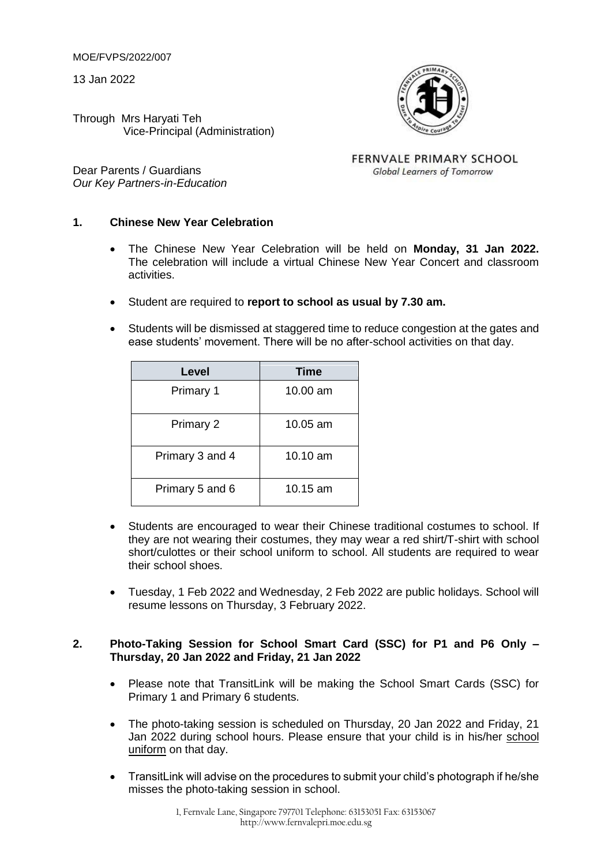MOE/FVPS/2022/007

13 Jan 2022

Through Mrs Haryati Teh Vice-Principal (Administration)



FERNVALE PRIMARY SCHOOL **Global Learners of Tomorrow** 

# **1. Chinese New Year Celebration**

- The Chinese New Year Celebration will be held on **Monday, 31 Jan 2022.** The celebration will include a virtual Chinese New Year Concert and classroom activities.
- Student are required to **report to school as usual by 7.30 am.**
- Students will be dismissed at staggered time to reduce congestion at the gates and ease students' movement. There will be no after-school activities on that day.

| Level           | <b>Time</b> |
|-----------------|-------------|
| Primary 1       | 10.00 am    |
| Primary 2       | 10.05 am    |
| Primary 3 and 4 | 10.10 am    |
| Primary 5 and 6 | 10.15 am    |

- Students are encouraged to wear their Chinese traditional costumes to school. If they are not wearing their costumes, they may wear a red shirt/T-shirt with school short/culottes or their school uniform to school. All students are required to wear their school shoes.
- Tuesday, 1 Feb 2022 and Wednesday, 2 Feb 2022 are public holidays. School will resume lessons on Thursday, 3 February 2022.

### **2. Photo-Taking Session for School Smart Card (SSC) for P1 and P6 Only – Thursday, 20 Jan 2022 and Friday, 21 Jan 2022**

- Please note that TransitLink will be making the School Smart Cards (SSC) for Primary 1 and Primary 6 students.
- The photo-taking session is scheduled on Thursday, 20 Jan 2022 and Friday, 21 Jan 2022 during school hours. Please ensure that your child is in his/her school uniform on that day.
- TransitLink will advise on the procedures to submit your child's photograph if he/she misses the photo-taking session in school.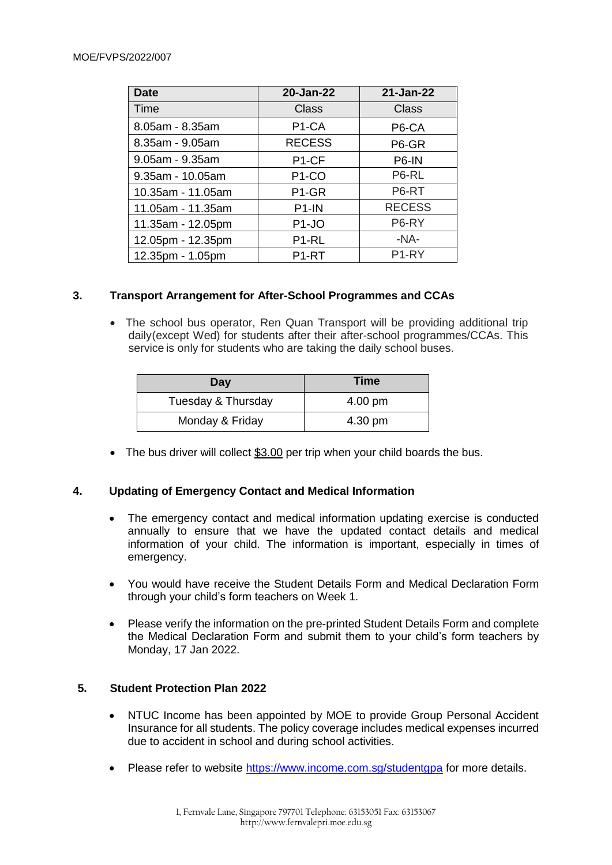#### MOE/FVPS/2022/007

| <b>Date</b>       | 20-Jan-22          | 21-Jan-22         |
|-------------------|--------------------|-------------------|
| Time              | Class              | Class             |
| 8.05am - 8.35am   | P <sub>1</sub> -CA | P6-CA             |
| 8.35am - 9.05am   | <b>RECESS</b>      | P6-GR             |
| 9.05am - 9.35am   | P <sub>1-CF</sub>  | P6-IN             |
| 9.35am - 10.05am  | P <sub>1</sub> -CO | P6-RL             |
| 10.35am - 11.05am | P1-GR              | P6-RT             |
| 11.05am - 11.35am | P <sub>1</sub> -IN | <b>RECESS</b>     |
| 11.35am - 12.05pm | P <sub>1</sub> -JO | P6-RY             |
| 12.05pm - 12.35pm | P <sub>1-RL</sub>  | $-NA-$            |
| 12.35pm - 1.05pm  | P <sub>1-RT</sub>  | P <sub>1-RY</sub> |

### **3. Transport Arrangement for After-School Programmes and CCAs**

 The school bus operator, Ren Quan Transport will be providing additional trip daily(except Wed) for students after their after-school programmes/CCAs. This service is only for students who are taking the daily school buses.

| Day                | <b>Time</b> |
|--------------------|-------------|
| Tuesday & Thursday | 4.00 pm     |
| Monday & Friday    | 4.30 pm     |

• The bus driver will collect \$3.00 per trip when your child boards the bus.

### **4. Updating of Emergency Contact and Medical Information**

- The emergency contact and medical information updating exercise is conducted annually to ensure that we have the updated contact details and medical information of your child. The information is important, especially in times of emergency.
- You would have receive the Student Details Form and Medical Declaration Form through your child's form teachers on Week 1.
- Please verify the information on the pre-printed Student Details Form and complete the Medical Declaration Form and submit them to your child's form teachers by Monday, 17 Jan 2022.

### **5. Student Protection Plan 2022**

- NTUC Income has been appointed by MOE to provide Group Personal Accident Insurance for all students. The policy coverage includes medical expenses incurred due to accident in school and during school activities.
- Please refer to website<https://www.income.com.sg/studentgpa> for more details.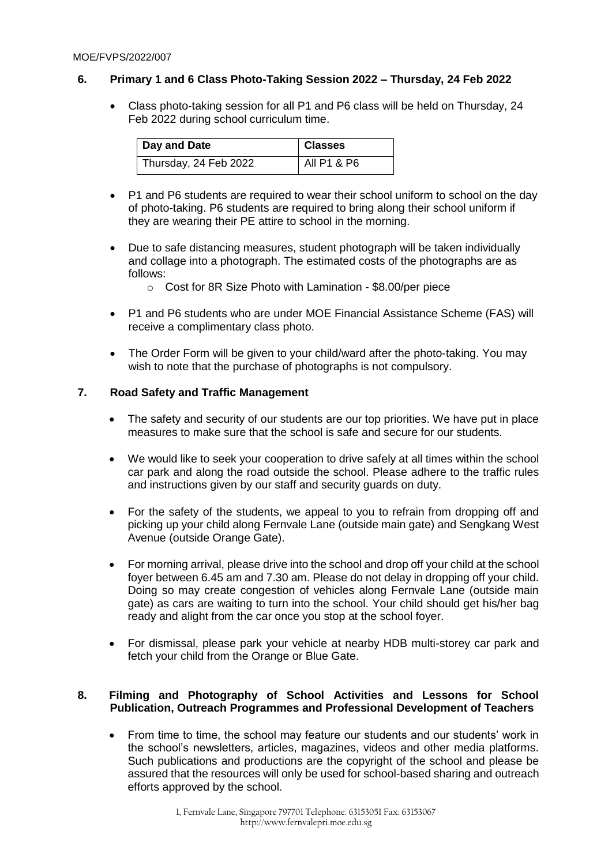## **6. Primary 1 and 6 Class Photo-Taking Session 2022 – Thursday, 24 Feb 2022**

 Class photo-taking session for all P1 and P6 class will be held on Thursday, 24 Feb 2022 during school curriculum time.

| Day and Date          | <b>Classes</b> |
|-----------------------|----------------|
| Thursday, 24 Feb 2022 | All P1 & P6    |

- P1 and P6 students are required to wear their school uniform to school on the day of photo-taking. P6 students are required to bring along their school uniform if they are wearing their PE attire to school in the morning.
- Due to safe distancing measures, student photograph will be taken individually and collage into a photograph. The estimated costs of the photographs are as follows:
	- o Cost for 8R Size Photo with Lamination \$8.00/per piece
- P1 and P6 students who are under MOE Financial Assistance Scheme (FAS) will receive a complimentary class photo.
- The Order Form will be given to your child/ward after the photo-taking. You may wish to note that the purchase of photographs is not compulsory.

### **7. Road Safety and Traffic Management**

- The safety and security of our students are our top priorities. We have put in place measures to make sure that the school is safe and secure for our students.
- We would like to seek your cooperation to drive safely at all times within the school car park and along the road outside the school. Please adhere to the traffic rules and instructions given by our staff and security guards on duty.
- For the safety of the students, we appeal to you to refrain from dropping off and picking up your child along Fernvale Lane (outside main gate) and Sengkang West Avenue (outside Orange Gate).
- For morning arrival, please drive into the school and drop off your child at the school foyer between 6.45 am and 7.30 am. Please do not delay in dropping off your child. Doing so may create congestion of vehicles along Fernvale Lane (outside main gate) as cars are waiting to turn into the school. Your child should get his/her bag ready and alight from the car once you stop at the school foyer.
- For dismissal, please park your vehicle at nearby HDB multi-storey car park and fetch your child from the Orange or Blue Gate.

#### **8. Filming and Photography of School Activities and Lessons for School Publication, Outreach Programmes and Professional Development of Teachers**

 From time to time, the school may feature our students and our students' work in the school's newsletters, articles, magazines, videos and other media platforms. Such publications and productions are the copyright of the school and please be assured that the resources will only be used for school-based sharing and outreach efforts approved by the school.